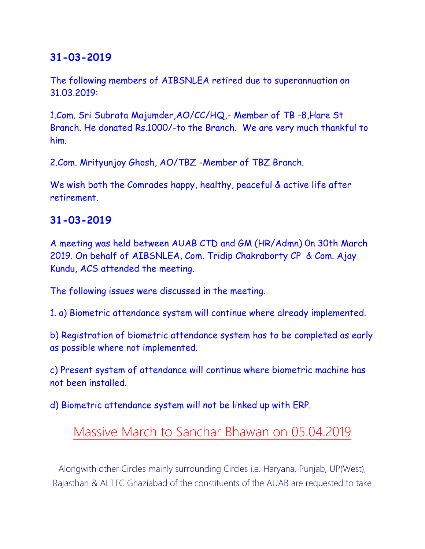## **31-03-2019**

The following members of AIBSNLEA retired due to superannuation on 31.03.2019:

1.Com. Sri Subrata Majumder,AO/CC/HQ,- Member of TB -8,Hare St Branch. He donated Rs.1000/-to the Branch. We are very much thankful to him.

2.Com. Mrityunjoy Ghosh, AO/TBZ -Member of TBZ Branch.

We wish both the Comrades happy, healthy, peaceful & active life after retirement.

#### **31-03-2019**

A meeting was held between AUAB CTD and GM (HR/Admn) 0n 30th March 2019. On behalf of AIBSNLEA, Com. Tridip Chakraborty CP & Com. Ajay Kundu, ACS attended the meeting.

The following issues were discussed in the meeting.

1. a) Biometric attendance system will continue where already implemented.

b) Registration of biometric attendance system has to be completed as early as possible where not implemented.

c) Present system of attendance will continue where biometric machine has not been installed.

d) Biometric attendance system will not be linked up with ERP.

# Massive March to Sanchar Bhawan on 05.04.2019

Alongwith other Circles mainly surrounding Circles i.e. Haryana, Punjab, UP(West), Rajasthan & ALTTC Ghaziabad of the constituents of the AUAB are requested to take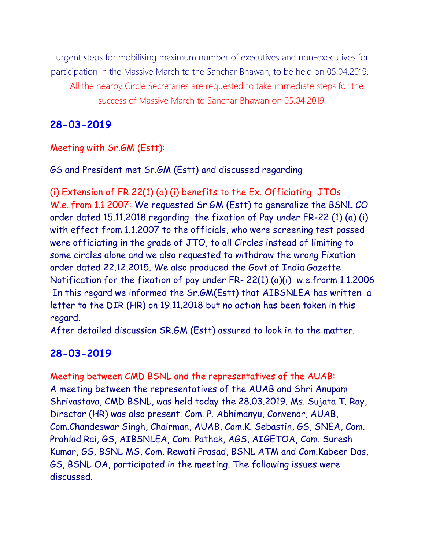urgent steps for mobilising maximum number of executives and non-executives for participation in the Massive March to the Sanchar Bhawan, to be held on 05.04.2019. All the nearby Circle Secretaries are requested to take immediate steps for the success of Massive March to Sanchar Bhawan on 05.04.2019.

#### **28-03-2019**

#### Meeting with Sr.GM (Estt):

GS and President met Sr.GM (Estt) and discussed regarding

(i) Extension of FR 22(1) (a) (i) benefits to the Ex. Officiating JTOs W.e..from 1.1.2007: We requested Sr.GM (Estt) to generalize the BSNL CO order dated 15.11.2018 regarding the fixation of Pay under FR-22 (1) (a) (i) with effect from 1.1.2007 to the officials, who were screening test passed were officiating in the grade of JTO, to all Circles instead of limiting to some circles alone and we also requested to withdraw the wrong Fixation order dated 22.12.2015. We also produced the Govt.of India Gazette Notification for the fixation of pay under FR- 22(1) (a)(i) w.e.frorm 1.1.2006 In this regard we informed the Sr.GM(Estt) that AIBSNLEA has written a letter to the DIR (HR) on 19.11.2018 but no action has been taken in this regard.

After detailed discussion SR.GM (Estt) assured to look in to the matter.

#### **28-03-2019**

Meeting between CMD BSNL and the representatives of the AUAB: A meeting between the representatives of the AUAB and Shri Anupam Shrivastava, CMD BSNL, was held today the 28.03.2019. Ms. Sujata T. Ray, Director (HR) was also present. Com. P. Abhimanyu, Convenor, AUAB, Com.Chandeswar Singh, Chairman, AUAB, Com.K. Sebastin, GS, SNEA, Com. Prahlad Rai, GS, AIBSNLEA, Com. Pathak, AGS, AIGETOA, Com. Suresh Kumar, GS, BSNL MS, Com. Rewati Prasad, BSNL ATM and Com.Kabeer Das, GS, BSNL OA, participated in the meeting. The following issues were discussed.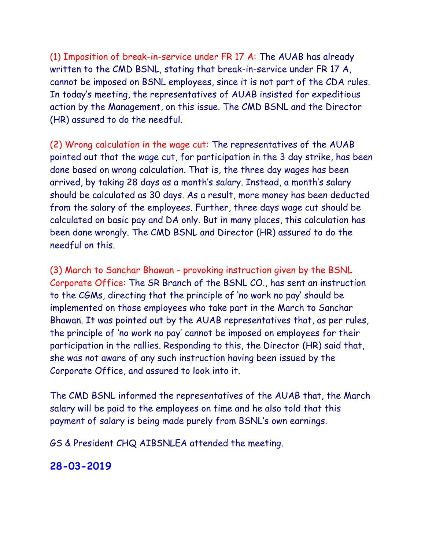(1) Imposition of break-in-service under FR 17 A: The AUAB has already written to the CMD BSNL, stating that break-in-service under FR 17 A, cannot be imposed on BSNL employees, since it is not part of the CDA rules. In today's meeting, the representatives of AUAB insisted for expeditious action by the Management, on this issue. The CMD BSNL and the Director (HR) assured to do the needful.

(2) Wrong calculation in the wage cut: The representatives of the AUAB pointed out that the wage cut, for participation in the 3 day strike, has been done based on wrong calculation. That is, the three day wages has been arrived, by taking 28 days as a month's salary. Instead, a month's salary should be calculated as 30 days. As a result, more money has been deducted from the salary of the employees. Further, three days wage cut should be calculated on basic pay and DA only. But in many places, this calculation has been done wrongly. The CMD BSNL and Director (HR) assured to do the needful on this.

(3) March to Sanchar Bhawan - provoking instruction given by the BSNL Corporate Office: The SR Branch of the BSNL CO., has sent an instruction to the CGMs, directing that the principle of 'no work no pay' should be implemented on those employees who take part in the March to Sanchar Bhawan. It was pointed out by the AUAB representatives that, as per rules, the principle of 'no work no pay' cannot be imposed on employees for their participation in the rallies. Responding to this, the Director (HR) said that, she was not aware of any such instruction having been issued by the Corporate Office, and assured to look into it.

The CMD BSNL informed the representatives of the AUAB that, the March salary will be paid to the employees on time and he also told that this payment of salary is being made purely from BSNL's own earnings.

GS & President CHQ AIBSNLEA attended the meeting.

#### **28-03-2019**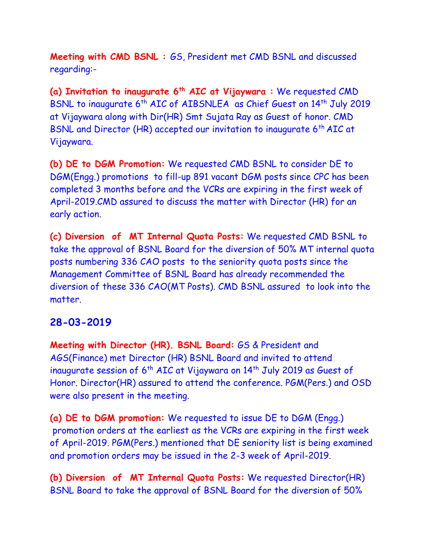**Meeting with CMD BSNL :** GS, President met CMD BSNL and discussed regarding:-

**(a) Invitation to inaugurate 6th AIC at Vijaywara :** We requested CMD BSNL to inaugurate 6<sup>th</sup> AIC of AIBSNLEA as Chief Guest on 14<sup>th</sup> July 2019 at Vijaywara along with Dir(HR) Smt Sujata Ray as Guest of honor. CMD BSNL and Director (HR) accepted our invitation to inaugurate 6<sup>th</sup> AIC at Vijaywara.

**(b) DE to DGM Promotion:** We requested CMD BSNL to consider DE to DGM(Engg.) promotions to fill-up 891 vacant DGM posts since CPC has been completed 3 months before and the VCRs are expiring in the first week of April-2019.CMD assured to discuss the matter with Director (HR) for an early action.

**(c) Diversion of MT Internal Quota Posts:** We requested CMD BSNL to take the approval of BSNL Board for the diversion of 50% MT internal quota posts numbering 336 CAO posts to the seniority quota posts since the Management Committee of BSNL Board has already recommended the diversion of these 336 CAO(MT Posts). CMD BSNL assured to look into the matter.

#### **28-03-2019**

**Meeting with Director (HR). BSNL Board:** GS & President and AGS(Finance) met Director (HR) BSNL Board and invited to attend inaugurate session of  $6<sup>th</sup>$  AIC at Vijaywara on  $14<sup>th</sup>$  July 2019 as Guest of Honor. Director(HR) assured to attend the conference. PGM(Pers.) and OSD were also present in the meeting.

**(a) DE to DGM promotion:** We requested to issue DE to DGM (Engg.) promotion orders at the earliest as the VCRs are expiring in the first week of April-2019. PGM(Pers.) mentioned that DE seniority list is being examined and promotion orders may be issued in the 2-3 week of April-2019.

**(b) Diversion of MT Internal Quota Posts:** We requested Director(HR) BSNL Board to take the approval of BSNL Board for the diversion of 50%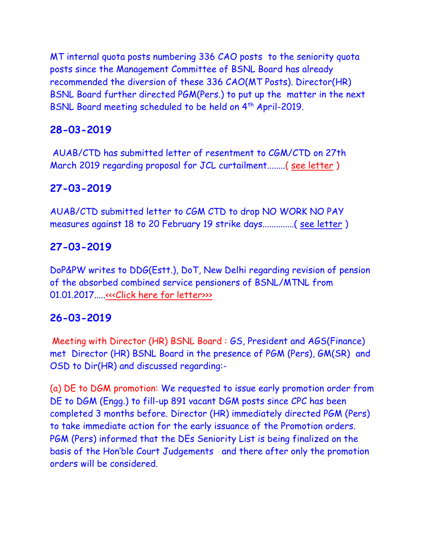MT internal quota posts numbering 336 CAO posts to the seniority quota posts since the Management Committee of BSNL Board has already recommended the diversion of these 336 CAO(MT Posts). Director(HR) BSNL Board further directed PGM(Pers.) to put up the matter in the next BSNL Board meeting scheduled to be held on 4th April-2019.

## **28-03-2019**

AUAB/CTD has submitted letter of resentment to CGM/CTD on 27th March 2019 regarding proposal for JCL curtailment........( [see letter](auab_270319.pdf) )

## **27-03-2019**

AUAB/CTD submitted letter to CGM CTD to drop NO WORK NO PAY measures against 18 to 20 February 19 strike days..............( [see letter](CGM_270319.pdf) )

## **27-03-2019**

DoP&PW writes to DDG(Estt.), DoT, New Delhi regarding revision of pension of the absorbed combined service pensioners of BSNL/MTNL from 01.01.2017....[.<<<Click here for letter>>>](http://www.aibsnleachq.in/PenRev%20DOP%20to%20DOT.pdf)

## **26-03-2019**

Meeting with Director (HR) BSNL Board : GS, President and AGS(Finance) met Director (HR) BSNL Board in the presence of PGM (Pers), GM(SR) and OSD to Dir(HR) and discussed regarding:-

(a) DE to DGM promotion: We requested to issue early promotion order from DE to DGM (Engg.) to fill-up 891 vacant DGM posts since CPC has been completed 3 months before. Director (HR) immediately directed PGM (Pers) to take immediate action for the early issuance of the Promotion orders. PGM (Pers) informed that the DEs Seniority List is being finalized on the basis of the Hon'ble Court Judgements and there after only the promotion orders will be considered.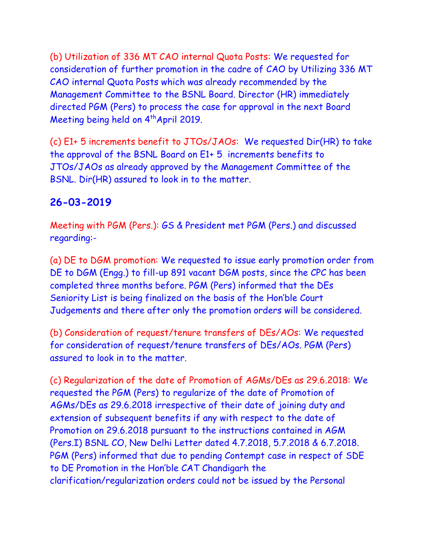(b) Utilization of 336 MT CAO internal Quota Posts: We requested for consideration of further promotion in the cadre of CAO by Utilizing 336 MT CAO internal Quota Posts which was already recommended by the Management Committee to the BSNL Board. Director (HR) immediately directed PGM (Pers) to process the case for approval in the next Board Meeting being held on 4<sup>th</sup> April 2019.

(c) E1+ 5 increments benefit to JTOs/JAOs: We requested Dir(HR) to take the approval of the BSNL Board on E1+ 5 increments benefits to JTOs/JAOs as already approved by the Management Committee of the BSNL. Dir(HR) assured to look in to the matter.

## **26-03-2019**

Meeting with PGM (Pers.): GS & President met PGM (Pers.) and discussed regarding:-

(a) DE to DGM promotion: We requested to issue early promotion order from DE to DGM (Engg.) to fill-up 891 vacant DGM posts, since the CPC has been completed three months before. PGM (Pers) informed that the DEs Seniority List is being finalized on the basis of the Hon'ble Court Judgements and there after only the promotion orders will be considered.

(b) Consideration of request/tenure transfers of DEs/AOs: We requested for consideration of request/tenure transfers of DEs/AOs. PGM (Pers) assured to look in to the matter.

(c) Regularization of the date of Promotion of AGMs/DEs as 29.6.2018: We requested the PGM (Pers) to regularize of the date of Promotion of AGMs/DEs as 29.6.2018 irrespective of their date of joining duty and extension of subsequent benefits if any with respect to the date of Promotion on 29.6.2018 pursuant to the instructions contained in AGM (Pers.I) BSNL CO, New Delhi Letter dated 4.7.2018, 5.7.2018 & 6.7.2018. PGM (Pers) informed that due to pending Contempt case in respect of SDE to DE Promotion in the Hon'ble CAT Chandigarh the clarification/regularization orders could not be issued by the Personal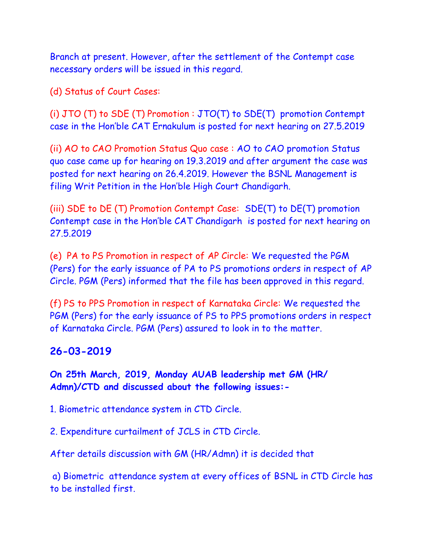Branch at present. However, after the settlement of the Contempt case necessary orders will be issued in this regard.

(d) Status of Court Cases:

(i) JTO (T) to SDE (T) Promotion : JTO(T) to SDE(T) promotion Contempt case in the Hon'ble CAT Ernakulum is posted for next hearing on 27.5.2019

(ii) AO to CAO Promotion Status Quo case : AO to CAO promotion Status quo case came up for hearing on 19.3.2019 and after argument the case was posted for next hearing on 26.4.2019. However the BSNL Management is filing Writ Petition in the Hon'ble High Court Chandigarh.

(iii) SDE to DE (T) Promotion Contempt Case: SDE(T) to DE(T) promotion Contempt case in the Hon'ble CAT Chandigarh is posted for next hearing on 27.5.2019

(e) PA to PS Promotion in respect of AP Circle: We requested the PGM (Pers) for the early issuance of PA to PS promotions orders in respect of AP Circle. PGM (Pers) informed that the file has been approved in this regard.

(f) PS to PPS Promotion in respect of Karnataka Circle: We requested the PGM (Pers) for the early issuance of PS to PPS promotions orders in respect of Karnataka Circle. PGM (Pers) assured to look in to the matter.

#### **26-03-2019**

**On 25th March, 2019, Monday AUAB leadership met GM (HR/ Admn)/CTD and discussed about the following issues:-**

1. Biometric attendance system in CTD Circle.

2. Expenditure curtailment of JCLS in CTD Circle.

After details discussion with GM (HR/Admn) it is decided that

a) Biometric attendance system at every offices of BSNL in CTD Circle has to be installed first.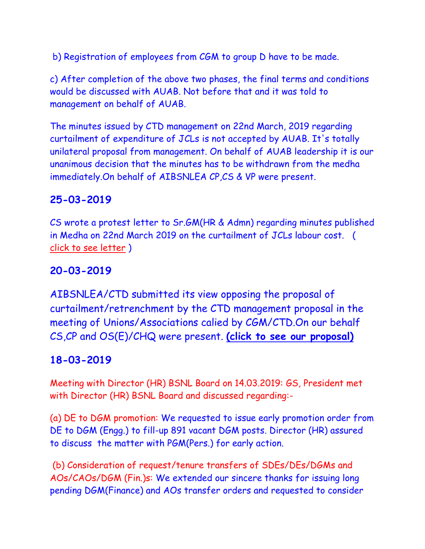b) Registration of employees from CGM to group D have to be made.

c) After completion of the above two phases, the final terms and conditions would be discussed with AUAB. Not before that and it was told to management on behalf of AUAB.

The minutes issued by CTD management on 22nd March, 2019 regarding curtailment of expenditure of JCLs is not accepted by AUAB. It's totally unilateral proposal from management. On behalf of AUAB leadership it is our unanimous decision that the minutes has to be withdrawn from the medha immediately.On behalf of AIBSNLEA CP,CS & VP were present.

# **25-03-2019**

CS wrote a protest letter to Sr.GM(HR & Admn) regarding minutes published in Medha on 22nd March 2019 on the curtailment of JCLs labour cost. ( [click to see letter](Sr%20GM%20HR_%20250319.pdf) )

# **20-03-2019**

AIBSNLEA/CTD submitted its view opposing the proposal of curtailment/retrenchment by the CTD management proposal in the meeting of Unions/Associations calied by CGM/CTD.On our behalf CS,CP and OS(E)/CHQ were present. **[\(click to see our proposal\)](JCL_suggestion_200319.pdf)**

# **18-03-2019**

Meeting with Director (HR) BSNL Board on 14.03.2019: GS, President met with Director (HR) BSNL Board and discussed regarding:-

(a) DE to DGM promotion: We requested to issue early promotion order from DE to DGM (Engg.) to fill-up 891 vacant DGM posts. Director (HR) assured to discuss the matter with PGM(Pers.) for early action.

(b) Consideration of request/tenure transfers of SDEs/DEs/DGMs and AOs/CAOs/DGM (Fin.)s: We extended our sincere thanks for issuing long pending DGM(Finance) and AOs transfer orders and requested to consider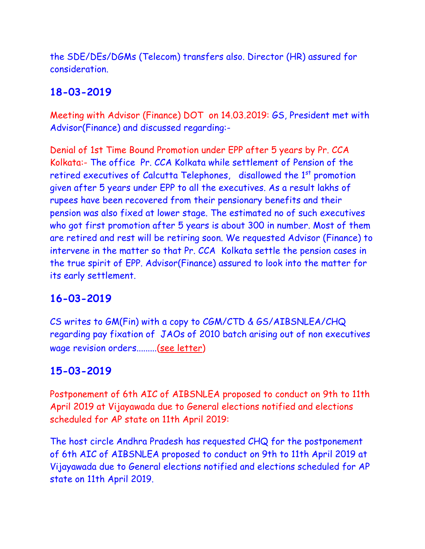the SDE/DEs/DGMs (Telecom) transfers also. Director (HR) assured for consideration.

# **18-03-2019**

Meeting with Advisor (Finance) DOT on 14.03.2019: GS, President met with Advisor(Finance) and discussed regarding:-

Denial of 1st Time Bound Promotion under EPP after 5 years by Pr. CCA Kolkata:- The office Pr. CCA Kolkata while settlement of Pension of the retired executives of Calcutta Telephones, disallowed the 1<sup>st</sup> promotion given after 5 years under EPP to all the executives. As a result lakhs of rupees have been recovered from their pensionary benefits and their pension was also fixed at lower stage. The estimated no of such executives who got first promotion after 5 years is about 300 in number. Most of them are retired and rest will be retiring soon. We requested Advisor (Finance) to intervene in the matter so that Pr. CCA Kolkata settle the pension cases in the true spirit of EPP. Advisor(Finance) assured to look into the matter for its early settlement.

# **16-03-2019**

CS writes to GM(Fin) with a copy to CGM/CTD & GS/AIBSNLEA/CHQ regarding pay fixation of JAOs of 2010 batch arising out of non executives wage revision orders.........[\(see letter\)](http://aibsnleawb.org/JAO10Arr%20dt%2016032019.pdf)

# **15-03-2019**

Postponement of 6th AIC of AIBSNLEA proposed to conduct on 9th to 11th April 2019 at Vijayawada due to General elections notified and elections scheduled for AP state on 11th April 2019:

The host circle Andhra Pradesh has requested CHQ for the postponement of 6th AIC of AIBSNLEA proposed to conduct on 9th to 11th April 2019 at Vijayawada due to General elections notified and elections scheduled for AP state on 11th April 2019.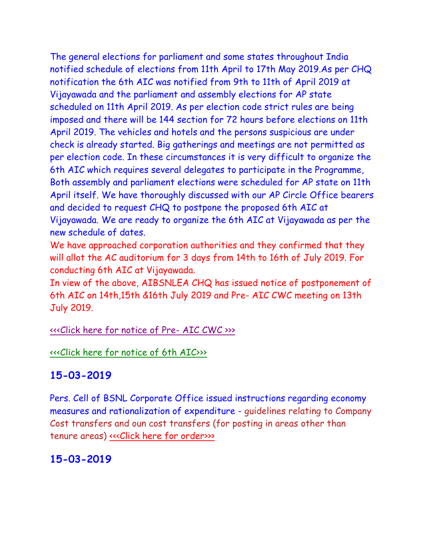The general elections for parliament and some states throughout India notified schedule of elections from 11th April to 17th May 2019.As per CHQ notification the 6th AIC was notified from 9th to 11th of April 2019 at Vijayawada and the parliament and assembly elections for AP state scheduled on 11th April 2019. As per election code strict rules are being imposed and there will be 144 section for 72 hours before elections on 11th April 2019. The vehicles and hotels and the persons suspicious are under check is already started. Big gatherings and meetings are not permitted as per election code. In these circumstances it is very difficult to organize the 6th AIC which requires several delegates to participate in the Programme, Both assembly and parliament elections were scheduled for AP state on 11th April itself. We have thoroughly discussed with our AP Circle Office bearers and decided to request CHQ to postpone the proposed 6th AIC at Vijayawada. We are ready to organize the 6th AIC at Vijayawada as per the new schedule of dates.

We have approached corporation authorities and they confirmed that they will allot the AC auditorium for 3 days from 14th to 16th of July 2019. For conducting 6th AIC at Vijayawada.

In view of the above, AIBSNLEA CHQ has issued notice of postponement of 6th AIC on 14th,15th &16th July 2019 and Pre- AIC CWC meeting on 13th July 2019.

[<<<Click here for notice of Pre-](http://www.aibsnleachq.in/Pre_AIC_14032016.PDF) AIC CWC >>>

[<<<Click here for notice of 6th AIC>>>](http://www.aibsnleachq.in/AIC_14032016.PDF)

# **15-03-2019**

Pers. Cell of BSNL Corporate Office issued instructions regarding economy measures and rationalization of expenditure - guidelines relating to Company Cost transfers and oun cost transfers (for posting in areas other than tenure areas) <<< Click here for order>>>>

# **15-03-2019**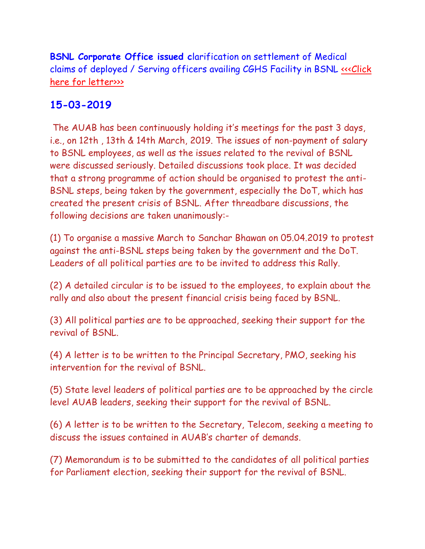**BSNL Corporate Office issued c**larification on settlement of Medical claims of deployed / Serving officers availing CGHS Facility in BSNL [<<<Click](http://www.aibsnleachq.in/Clarification%20on%20settlement%20of%20Medical%20claims%20of%20deployed%20-%20Serving%20officers%20availing%20CGHS%20Facility%20%20reg%2014-03-19.pdf)  [here for letter>>>](http://www.aibsnleachq.in/Clarification%20on%20settlement%20of%20Medical%20claims%20of%20deployed%20-%20Serving%20officers%20availing%20CGHS%20Facility%20%20reg%2014-03-19.pdf)

#### **15-03-2019**

The AUAB has been continuously holding it's meetings for the past 3 days, i.e., on 12th , 13th & 14th March, 2019. The issues of non-payment of salary to BSNL employees, as well as the issues related to the revival of BSNL were discussed seriously. Detailed discussions took place. It was decided that a strong programme of action should be organised to protest the anti-BSNL steps, being taken by the government, especially the DoT, which has created the present crisis of BSNL. After threadbare discussions, the following decisions are taken unanimously:-

(1) To organise a massive March to Sanchar Bhawan on 05.04.2019 to protest against the anti-BSNL steps being taken by the government and the DoT. Leaders of all political parties are to be invited to address this Rally.

(2) A detailed circular is to be issued to the employees, to explain about the rally and also about the present financial crisis being faced by BSNL.

(3) All political parties are to be approached, seeking their support for the revival of BSNL.

(4) A letter is to be written to the Principal Secretary, PMO, seeking his intervention for the revival of BSNL.

(5) State level leaders of political parties are to be approached by the circle level AUAB leaders, seeking their support for the revival of BSNL.

(6) A letter is to be written to the Secretary, Telecom, seeking a meeting to discuss the issues contained in AUAB's charter of demands.

(7) Memorandum is to be submitted to the candidates of all political parties for Parliament election, seeking their support for the revival of BSNL.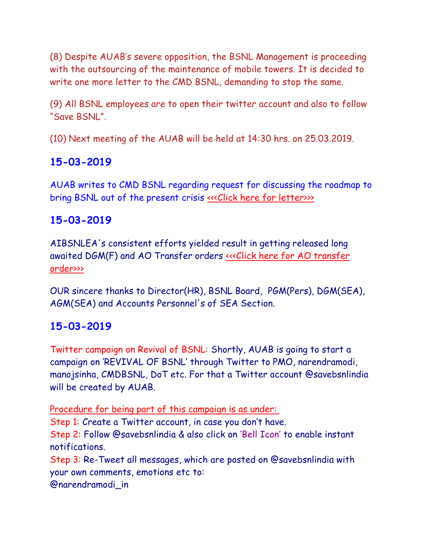(8) Despite AUAB's severe opposition, the BSNL Management is proceeding with the outsourcing of the maintenance of mobile towers. It is decided to write one more letter to the CMD BSNL, demanding to stop the same.

(9) All BSNL employees are to open their twitter account and also to follow "Save BSNL".

(10) Next meeting of the AUAB will be held at 14:30 hrs. on 25.03.2019.

## **15-03-2019**

AUAB writes to CMD BSNL regarding request for discussing the roadmap to bring BSNL out of the present crisis «<< Click here for letter>>>>

## **15-03-2019**

AIBSNLEA's consistent efforts yielded result in getting released long awaited DGM(F) and AO Transfer orders <<< Click here for AO transfer [order>>>](http://www.aibsnleachq.in/AO%20TRANSFER.pdf)

OUR sincere thanks to Director(HR), BSNL Board, PGM(Pers), DGM(SEA), AGM(SEA) and Accounts Personnel's of SEA Section.

## **15-03-2019**

Twitter campaign on Revival of BSNL: Shortly, AUAB is going to start a campaign on 'REVIVAL OF BSNL' through Twitter to PMO, narendramodi, manojsinha, CMDBSNL, DoT etc. For that a Twitter account @savebsnlindia will be created by AUAB.

Procedure for being part of this campaign is as under:

Step 1: Create a Twitter account, in case you don't have.

Step 2: Follow @savebsnlindia & also click on 'Bell Icon' to enable instant notifications.

Step 3: Re-Tweet all messages, which are posted on @savebsnlindia with your own comments, emotions etc to:

@narendramodi\_in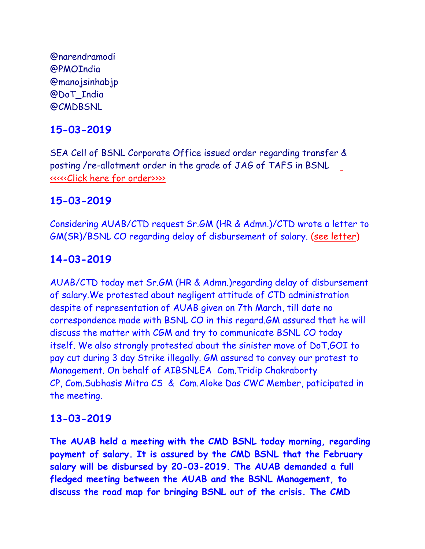@narendramodi @PMOIndia @manojsinhabjp @DoT\_India @CMDBSNL

## **15-03-2019**

SEA Cell of BSNL Corporate Office issued order regarding transfer & posting /re-allotment order in the grade of JAG of TAFS in BSNL [<<<<<Click here for order>>>>](http://www.aibsnleachq.in/New%20Doc%202019-03-13%2017.36.44.pdf)

#### **15-03-2019**

Considering AUAB/CTD request Sr.GM (HR & Admn.)/CTD wrote a letter to GM(SR)/BSNL CO regarding delay of disbursement of salary. [\(see letter\)](15032019.pdf)

#### **14-03-2019**

AUAB/CTD today met Sr.GM (HR & Admn.)regarding delay of disbursement of salary.We protested about negligent attitude of CTD administration despite of representation of AUAB given on 7th March, till date no correspondence made with BSNL CO in this regard.GM assured that he will discuss the matter with CGM and try to communicate BSNL CO today itself. We also strongly protested about the sinister move of DoT,GOI to pay cut during 3 day Strike illegally. GM assured to convey our protest to Management. On behalf of AIBSNLEA Com.Tridip Chakraborty CP, Com.Subhasis Mitra CS & Com.Aloke Das CWC Member, paticipated in the meeting.

#### **13-03-2019**

**The AUAB held a meeting with the CMD BSNL today morning, regarding payment of salary. It is assured by the CMD BSNL that the February salary will be disbursed by 20-03-2019. The AUAB demanded a full fledged meeting between the AUAB and the BSNL Management, to discuss the road map for bringing BSNL out of the crisis. The CMD**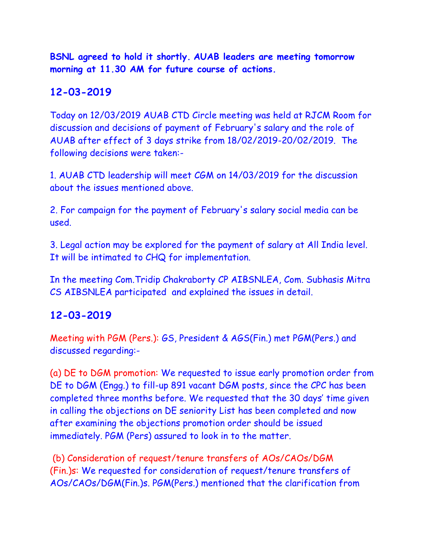**BSNL agreed to hold it shortly. AUAB leaders are meeting tomorrow morning at 11.30 AM for future course of actions.**

## **12-03-2019**

Today on 12/03/2019 AUAB CTD Circle meeting was held at RJCM Room for discussion and decisions of payment of February's salary and the role of AUAB after effect of 3 days strike from 18/02/2019-20/02/2019. The following decisions were taken:-

1. AUAB CTD leadership will meet CGM on 14/03/2019 for the discussion about the issues mentioned above.

2. For campaign for the payment of February's salary social media can be used.

3. Legal action may be explored for the payment of salary at All India level. It will be intimated to CHQ for implementation.

In the meeting Com.Tridip Chakraborty CP AIBSNLEA, Com. Subhasis Mitra CS AIBSNLEA participated and explained the issues in detail.

#### **12-03-2019**

Meeting with PGM (Pers.): GS, President & AGS(Fin.) met PGM(Pers.) and discussed regarding:-

(a) DE to DGM promotion: We requested to issue early promotion order from DE to DGM (Engg.) to fill-up 891 vacant DGM posts, since the CPC has been completed three months before. We requested that the 30 days' time given in calling the objections on DE seniority List has been completed and now after examining the objections promotion order should be issued immediately. PGM (Pers) assured to look in to the matter.

(b) Consideration of request/tenure transfers of AOs/CAOs/DGM (Fin.)s: We requested for consideration of request/tenure transfers of AOs/CAOs/DGM(Fin.)s. PGM(Pers.) mentioned that the clarification from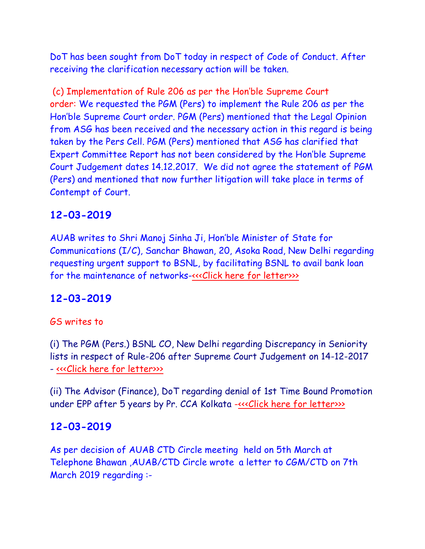DoT has been sought from DoT today in respect of Code of Conduct. After receiving the clarification necessary action will be taken.

(c) Implementation of Rule 206 as per the Hon'ble Supreme Court order: We requested the PGM (Pers) to implement the Rule 206 as per the Hon'ble Supreme Court order. PGM (Pers) mentioned that the Legal Opinion from ASG has been received and the necessary action in this regard is being taken by the Pers Cell. PGM (Pers) mentioned that ASG has clarified that Expert Committee Report has not been considered by the Hon'ble Supreme Court Judgement dates 14.12.2017. We did not agree the statement of PGM (Pers) and mentioned that now further litigation will take place in terms of Contempt of Court.

#### **12-03-2019**

AUAB writes to Shri Manoj Sinha Ji, Hon'ble Minister of State for Communications (I/C), Sanchar Bhawan, 20, Asoka Road, New Delhi regarding requesting urgent support to BSNL, by facilitating BSNL to avail bank loan for the maintenance of networks-«<<Click here for letter>>>>

## **12-03-2019**

#### GS writes to

(i) The PGM (Pers.) BSNL CO, New Delhi regarding Discrepancy in Seniority lists in respect of Rule-206 after Supreme Court Judgement on 14-12-2017 - [<<<Click here for letter>>>](http://www.aibsnleachq.in/bsnl07032019.PDF)

(ii) The Advisor (Finance), DoT regarding denial of 1st Time Bound Promotion under EPP after 5 years by Pr. CCA Kolkata [-<<<Click here for letter>>>](http://www.aibsnleachq.in/DoT07032019.PDF)

#### **12-03-2019**

As per decision of AUAB CTD Circle meeting held on 5th March at Telephone Bhawan ,AUAB/CTD Circle wrote a letter to CGM/CTD on 7th March 2019 regarding :-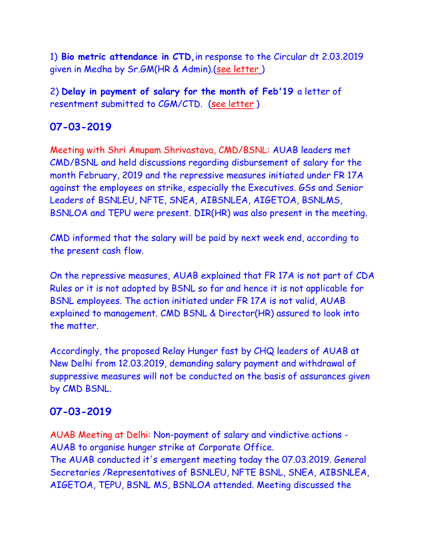1) **Bio metric attendance in CTD,**in response to the Circular dt 2.03.2019 given in Medha by Sr.GM(HR & Admin).[\(see letter](Bio%20metric_1.pdf) [\)](Bio%20metric_1.pdf)

2) **Delay in payment of salary for the month of Feb'19** a letter of resentment submitted to CGM/CTD. [\(see letter](salary_1.pdf) )

## **07-03-2019**

Meeting with Shri Anupam Shrivastava, CMD/BSNL: AUAB leaders met CMD/BSNL and held discussions regarding disbursement of salary for the month February, 2019 and the repressive measures initiated under FR 17A against the employees on strike, especially the Executives. GSs and Senior Leaders of BSNLEU, NFTE, SNEA, AIBSNLEA, AIGETOA, BSNLMS, BSNLOA and TEPU were present. DIR(HR) was also present in the meeting.

CMD informed that the salary will be paid by next week end, according to the present cash flow.

On the repressive measures, AUAB explained that FR 17A is not part of CDA Rules or it is not adopted by BSNL so far and hence it is not applicable for BSNL employees. The action initiated under FR 17A is not valid, AUAB explained to management. CMD BSNL & Director(HR) assured to look into the matter.

Accordingly, the proposed Relay Hunger fast by CHQ leaders of AUAB at New Delhi from 12.03.2019, demanding salary payment and withdrawal of suppressive measures will not be conducted on the basis of assurances given by CMD BSNL.

## **07-03-2019**

AUAB Meeting at Delhi: Non-payment of salary and vindictive actions - AUAB to organise hunger strike at Corporate Office. The AUAB conducted it's emergent meeting today the 07.03.2019. General Secretaries /Representatives of BSNLEU, NFTE BSNL, SNEA, AIBSNLEA, AIGETOA, TEPU, BSNL MS, BSNLOA attended. Meeting discussed the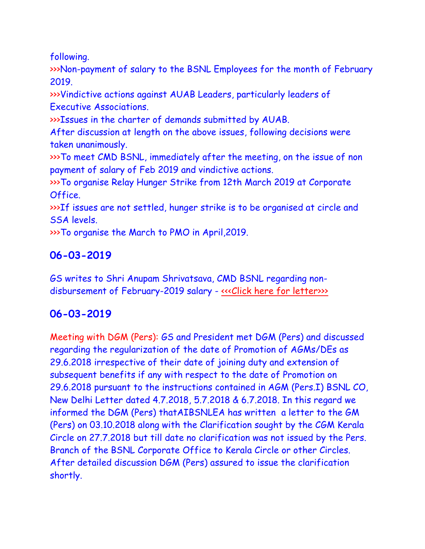following.

>>>Non-payment of salary to the BSNL Employees for the month of February 2019.

>>>Vindictive actions against AUAB Leaders, particularly leaders of Executive Associations.

>>>Issues in the charter of demands submitted by AUAB.

After discussion at length on the above issues, following decisions were taken unanimously.

>>>To meet CMD BSNL, immediately after the meeting, on the issue of non payment of salary of Feb 2019 and vindictive actions.

>>>To organise Relay Hunger Strike from 12th March 2019 at Corporate Office.

>>>If issues are not settled, hunger strike is to be organised at circle and SSA levels.

>>>To organise the March to PMO in April,2019.

# **06-03-2019**

GS writes to Shri Anupam Shrivatsava, CMD BSNL regarding non-disbursement of February-2019 salary - [<<<Click here for letter>>>](http://www.aibsnleachq.in/CMD_190306.PDF)>

# **06-03-2019**

Meeting with DGM (Pers): GS and President met DGM (Pers) and discussed regarding the regularization of the date of Promotion of AGMs/DEs as 29.6.2018 irrespective of their date of joining duty and extension of subsequent benefits if any with respect to the date of Promotion on 29.6.2018 pursuant to the instructions contained in AGM (Pers.I) BSNL CO, New Delhi Letter dated 4.7.2018, 5.7.2018 & 6.7.2018. In this regard we informed the DGM (Pers) thatAIBSNLEA has written a letter to the GM (Pers) on 03.10.2018 along with the Clarification sought by the CGM Kerala Circle on 27.7.2018 but till date no clarification was not issued by the Pers. Branch of the BSNL Corporate Office to Kerala Circle or other Circles. After detailed discussion DGM (Pers) assured to issue the clarification shortly.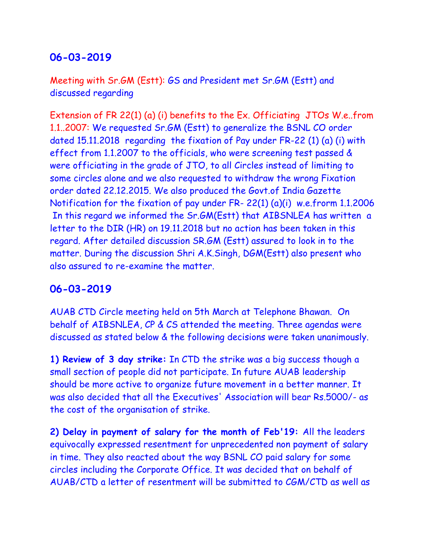#### **06-03-2019**

Meeting with Sr.GM (Estt): GS and President met Sr.GM (Estt) and discussed regarding

Extension of FR 22(1) (a) (i) benefits to the Ex. Officiating JTOs W.e..from 1.1..2007: We requested Sr.GM (Estt) to generalize the BSNL CO order dated 15.11.2018 regarding the fixation of Pay under FR-22 (1) (a) (i) with effect from 1.1.2007 to the officials, who were screening test passed & were officiating in the grade of JTO, to all Circles instead of limiting to some circles alone and we also requested to withdraw the wrong Fixation order dated 22.12.2015. We also produced the Govt.of India Gazette Notification for the fixation of pay under FR- 22(1) (a)(i) w.e.frorm 1.1.2006 In this regard we informed the Sr.GM(Estt) that AIBSNLEA has written a letter to the DIR (HR) on 19.11.2018 but no action has been taken in this regard. After detailed discussion SR.GM (Estt) assured to look in to the matter. During the discussion Shri A.K.Singh, DGM(Estt) also present who also assured to re-examine the matter.

#### **06-03-2019**

AUAB CTD Circle meeting held on 5th March at Telephone Bhawan. On behalf of AIBSNLEA, CP & CS attended the meeting. Three agendas were discussed as stated below & the following decisions were taken unanimously.

**1) Review of 3 day strike:** In CTD the strike was a big success though a small section of people did not participate. In future AUAB leadership should be more active to organize future movement in a better manner. It was also decided that all the Executives' Association will bear Rs.5000/- as the cost of the organisation of strike.

**2) Delay in payment of salary for the month of Feb'19:** All the leaders equivocally expressed resentment for unprecedented non payment of salary in time. They also reacted about the way BSNL CO paid salary for some circles including the Corporate Office. It was decided that on behalf of AUAB/CTD a letter of resentment will be submitted to CGM/CTD as well as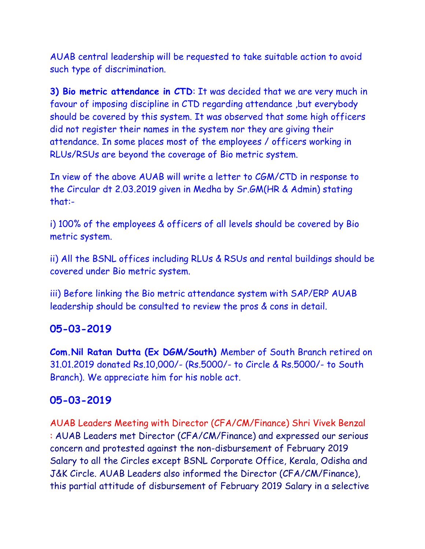AUAB central leadership will be requested to take suitable action to avoid such type of discrimination.

**3) Bio metric attendance in CTD**: It was decided that we are very much in favour of imposing discipline in CTD regarding attendance ,but everybody should be covered by this system. It was observed that some high officers did not register their names in the system nor they are giving their attendance. In some places most of the employees / officers working in RLUs/RSUs are beyond the coverage of Bio metric system.

In view of the above AUAB will write a letter to CGM/CTD in response to the Circular dt 2.03.2019 given in Medha by Sr.GM(HR & Admin) stating that:-

i) 100% of the employees & officers of all levels should be covered by Bio metric system.

ii) All the BSNL offices including RLUs & RSUs and rental buildings should be covered under Bio metric system.

iii) Before linking the Bio metric attendance system with SAP/ERP AUAB leadership should be consulted to review the pros & cons in detail.

#### **05-03-2019**

**Com.Nil Ratan Dutta (Ex DGM/South)** Member of South Branch retired on 31.01.2019 donated Rs.10,000/- (Rs.5000/- to Circle & Rs.5000/- to South Branch). We appreciate him for his noble act.

#### **05-03-2019**

AUAB Leaders Meeting with Director (CFA/CM/Finance) Shri Vivek Benzal : AUAB Leaders met Director (CFA/CM/Finance) and expressed our serious concern and protested against the non-disbursement of February 2019 Salary to all the Circles except BSNL Corporate Office, Kerala, Odisha and J&K Circle. AUAB Leaders also informed the Director (CFA/CM/Finance), this partial attitude of disbursement of February 2019 Salary in a selective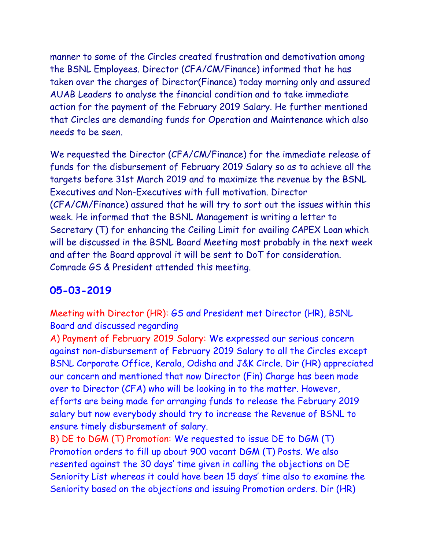manner to some of the Circles created frustration and demotivation among the BSNL Employees. Director (CFA/CM/Finance) informed that he has taken over the charges of Director(Finance) today morning only and assured AUAB Leaders to analyse the financial condition and to take immediate action for the payment of the February 2019 Salary. He further mentioned that Circles are demanding funds for Operation and Maintenance which also needs to be seen.

We requested the Director (CFA/CM/Finance) for the immediate release of funds for the disbursement of February 2019 Salary so as to achieve all the targets before 31st March 2019 and to maximize the revenue by the BSNL Executives and Non-Executives with full motivation. Director (CFA/CM/Finance) assured that he will try to sort out the issues within this week. He informed that the BSNL Management is writing a letter to Secretary (T) for enhancing the Ceiling Limit for availing CAPEX Loan which will be discussed in the BSNL Board Meeting most probably in the next week and after the Board approval it will be sent to DoT for consideration. Comrade GS & President attended this meeting.

#### **05-03-2019**

Meeting with Director (HR): GS and President met Director (HR), BSNL Board and discussed regarding

A) Payment of February 2019 Salary: We expressed our serious concern against non-disbursement of February 2019 Salary to all the Circles except BSNL Corporate Office, Kerala, Odisha and J&K Circle. Dir (HR) appreciated our concern and mentioned that now Director (Fin) Charge has been made over to Director (CFA) who will be looking in to the matter. However, efforts are being made for arranging funds to release the February 2019 salary but now everybody should try to increase the Revenue of BSNL to ensure timely disbursement of salary.

B) DE to DGM (T) Promotion: We requested to issue DE to DGM (T) Promotion orders to fill up about 900 vacant DGM (T) Posts. We also resented against the 30 days' time given in calling the objections on DE Seniority List whereas it could have been 15 days' time also to examine the Seniority based on the objections and issuing Promotion orders. Dir (HR)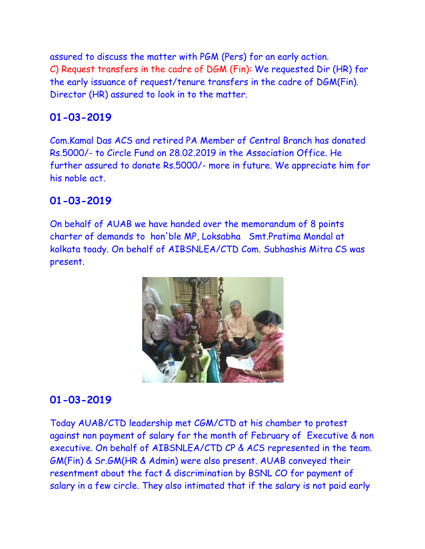assured to discuss the matter with PGM (Pers) for an early action. C) Request transfers in the cadre of DGM (Fin): We requested Dir (HR) for the early issuance of request/tenure transfers in the cadre of DGM(Fin). Director (HR) assured to look in to the matter.

# **01-03-2019**

Com.Kamal Das ACS and retired PA Member of Central Branch has donated Rs.5000/- to Circle Fund on 28.02.2019 in the Association Office. He further assured to donate Rs.5000/- more in future. We appreciate him for his noble act.

## **01-03-2019**

On behalf of AUAB we have handed over the memorandum of 8 points charter of demands to hon'ble MP, Loksabha Smt.Pratima Mondal at kolkata toady. On behalf of AIBSNLEA/CTD Com. Subhashis Mitra CS was present.



# **01-03-2019**

Today AUAB/CTD leadership met CGM/CTD at his chamber to protest against non payment of salary for the month of February of Executive & non executive. On behalf of AIBSNLEA/CTD CP & ACS represented in the team. GM(Fin) & Sr.GM(HR & Admin) were also present. AUAB conveyed their resentment about the fact & discrimination by BSNL CO for payment of salary in a few circle. They also intimated that if the salary is not paid early